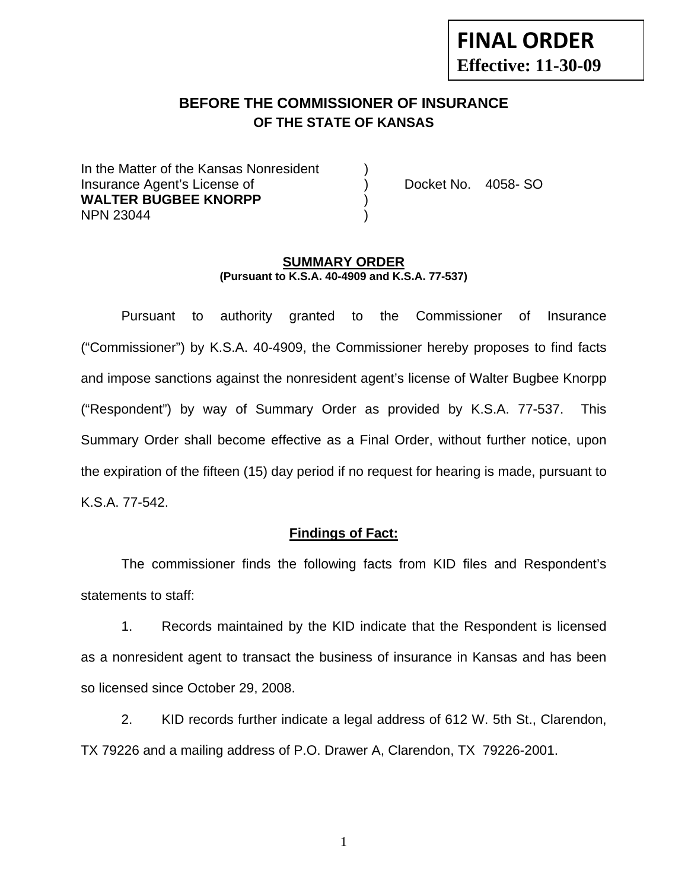# **FINAL ORDER Effective: 11-30-09**

# **BEFORE THE COMMISSIONER OF INSURANCE OF THE STATE OF KANSAS**

In the Matter of the Kansas Nonresident Insurance Agent's License of ) Docket No. 4058- SO **WALTER BUGBEE KNORPP** ) NPN 23044 )

#### **SUMMARY ORDER (Pursuant to K.S.A. 40-4909 and K.S.A. 77-537)**

 Pursuant to authority granted to the Commissioner of Insurance ("Commissioner") by K.S.A. 40-4909, the Commissioner hereby proposes to find facts and impose sanctions against the nonresident agent's license of Walter Bugbee Knorpp ("Respondent") by way of Summary Order as provided by K.S.A. 77-537. This Summary Order shall become effective as a Final Order, without further notice, upon the expiration of the fifteen (15) day period if no request for hearing is made, pursuant to K.S.A. 77-542.

#### **Findings of Fact:**

 The commissioner finds the following facts from KID files and Respondent's statements to staff:

 1. Records maintained by the KID indicate that the Respondent is licensed as a nonresident agent to transact the business of insurance in Kansas and has been so licensed since October 29, 2008.

 2. KID records further indicate a legal address of 612 W. 5th St., Clarendon, TX 79226 and a mailing address of P.O. Drawer A, Clarendon, TX 79226-2001.

1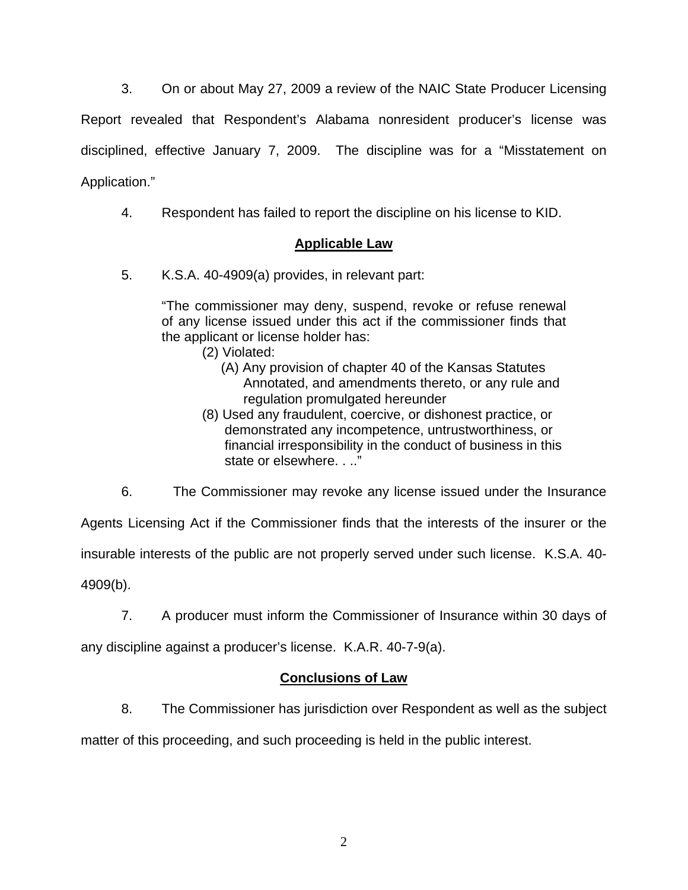3. On or about May 27, 2009 a review of the NAIC State Producer Licensing

Report revealed that Respondent's Alabama nonresident producer's license was disciplined, effective January 7, 2009. The discipline was for a "Misstatement on Application."

4. Respondent has failed to report the discipline on his license to KID.

## **Applicable Law**

5. K.S.A. 40-4909(a) provides, in relevant part:

"The commissioner may deny, suspend, revoke or refuse renewal of any license issued under this act if the commissioner finds that the applicant or license holder has:

- (2) Violated:
	- (A) Any provision of chapter 40 of the Kansas Statutes Annotated, and amendments thereto, or any rule and regulation promulgated hereunder
- (8) Used any fraudulent, coercive, or dishonest practice, or demonstrated any incompetence, untrustworthiness, or financial irresponsibility in the conduct of business in this state or elsewhere. . .."

Agents Licensing Act if the Commissioner finds that the interests of the insurer or the insurable interests of the public are not properly served under such license. K.S.A. 40- 4909(b).

7. A producer must inform the Commissioner of Insurance within 30 days of

6. The Commissioner may revoke any license issued under the Insurance

any discipline against a producer's license. K.A.R. 40-7-9(a).

## **Conclusions of Law**

8. The Commissioner has jurisdiction over Respondent as well as the subject

matter of this proceeding, and such proceeding is held in the public interest.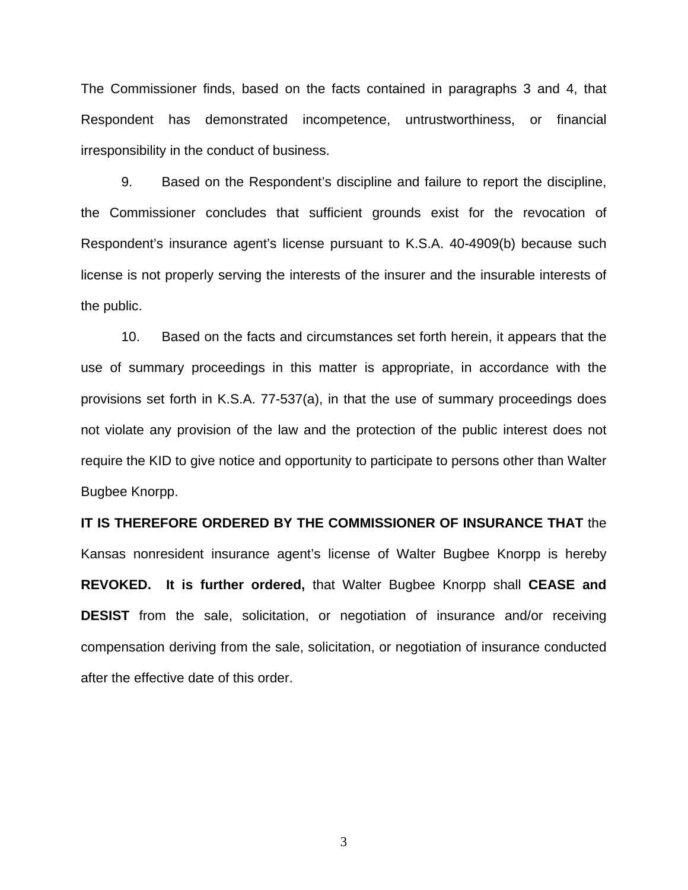The Commissioner finds, based on the facts contained in paragraphs 3 and 4, that Respondent has demonstrated incompetence, untrustworthiness, or financial irresponsibility in the conduct of business.

 9. Based on the Respondent's discipline and failure to report the discipline, the Commissioner concludes that sufficient grounds exist for the revocation of Respondent's insurance agent's license pursuant to K.S.A. 40-4909(b) because such license is not properly serving the interests of the insurer and the insurable interests of the public.

 10. Based on the facts and circumstances set forth herein, it appears that the use of summary proceedings in this matter is appropriate, in accordance with the provisions set forth in K.S.A. 77-537(a), in that the use of summary proceedings does not violate any provision of the law and the protection of the public interest does not require the KID to give notice and opportunity to participate to persons other than Walter Bugbee Knorpp.

**IT IS THEREFORE ORDERED BY THE COMMISSIONER OF INSURANCE THAT** the Kansas nonresident insurance agent's license of Walter Bugbee Knorpp is hereby **REVOKED. It is further ordered,** that Walter Bugbee Knorpp shall **CEASE and DESIST** from the sale, solicitation, or negotiation of insurance and/or receiving compensation deriving from the sale, solicitation, or negotiation of insurance conducted after the effective date of this order.

3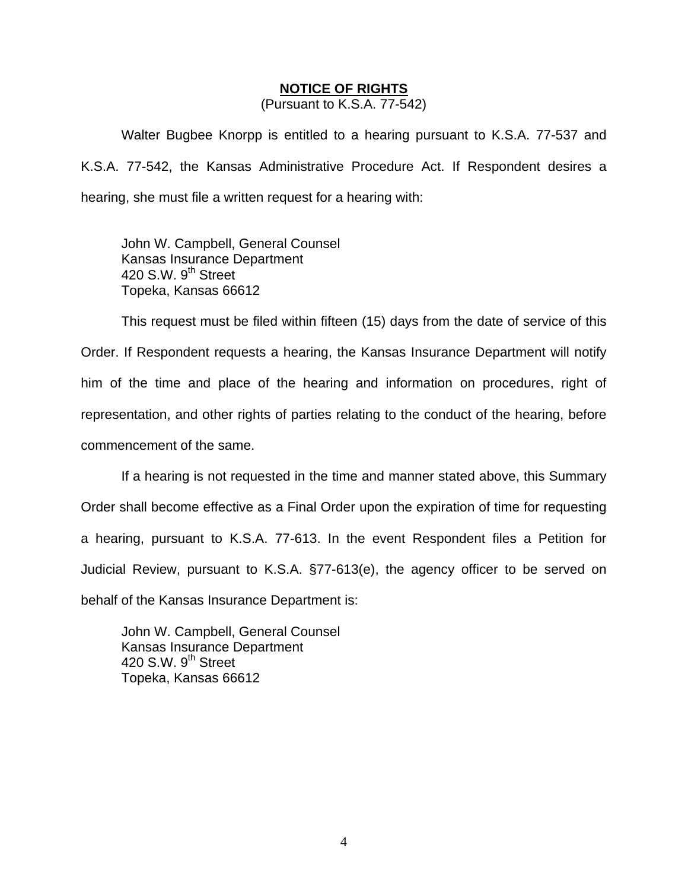#### **NOTICE OF RIGHTS**

(Pursuant to K.S.A. 77-542)

Walter Bugbee Knorpp is entitled to a hearing pursuant to K.S.A. 77-537 and K.S.A. 77-542, the Kansas Administrative Procedure Act. If Respondent desires a hearing, she must file a written request for a hearing with:

 John W. Campbell, General Counsel Kansas Insurance Department 420 S.W. 9<sup>th</sup> Street Topeka, Kansas 66612

This request must be filed within fifteen (15) days from the date of service of this Order. If Respondent requests a hearing, the Kansas Insurance Department will notify him of the time and place of the hearing and information on procedures, right of representation, and other rights of parties relating to the conduct of the hearing, before commencement of the same.

If a hearing is not requested in the time and manner stated above, this Summary Order shall become effective as a Final Order upon the expiration of time for requesting a hearing, pursuant to K.S.A. 77-613. In the event Respondent files a Petition for Judicial Review, pursuant to K.S.A. §77-613(e), the agency officer to be served on behalf of the Kansas Insurance Department is:

 John W. Campbell, General Counsel Kansas Insurance Department 420 S.W.  $9<sup>th</sup>$  Street Topeka, Kansas 66612